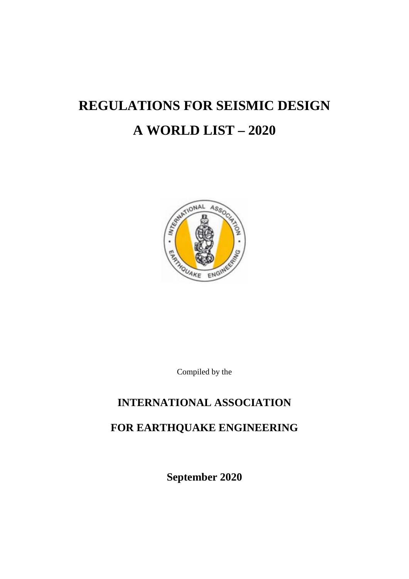# **REGULATIONS FOR SEISMIC DESIGN A WORLD LIST – 2020**



Compiled by the

## **INTERNATIONAL ASSOCIATION**

# **FOR EARTHQUAKE ENGINEERING**

**September 2020**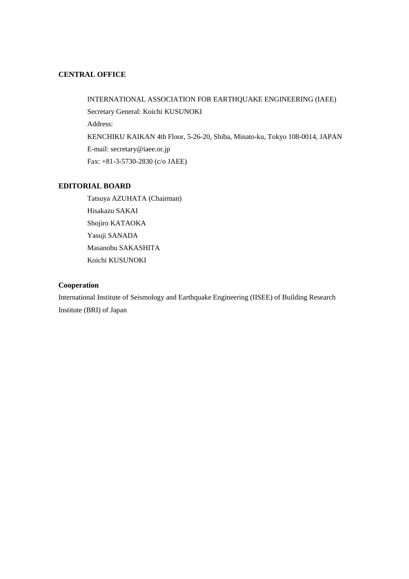## **CENTRAL OFFICE**

INTERNATIONAL ASSOCIATION FOR EARTHQUAKE ENGINEERING (IAEE) Secretary General: Koichi KUSUNOKI Address: KENCHIKU KAIKAN 4th Floor, 5-26-20, Shiba, Minato-ku, Tokyo 108-0014, JAPAN E-mail: secretary@iaee.or.jp Fax: +81-3-5730-2830 (c/o JAEE)

## **EDITORIAL BOARD**

Tatsuya AZUHATA (Chairman) Hisakazu SAKAI Shojiro KATAOKA Yasuji SANADA Masanobu SAKASHITA Koichi KUSUNOKI

## **Cooperation**

International Institute of Seismology and Earthquake Engineering (IISEE) of Building Research Institute (BRI) of Japan